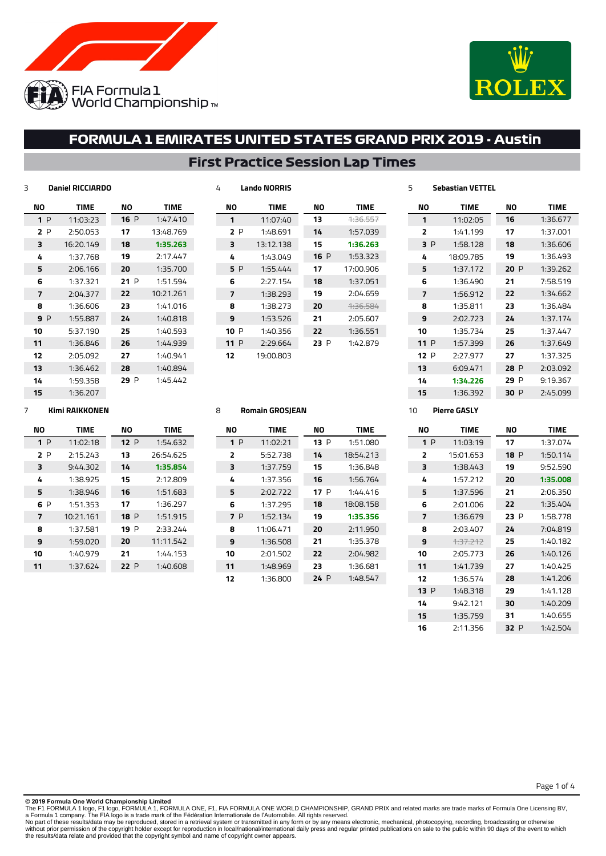



## **First Practice Session Lap Times**

**Lando NORRIS**

| ΝO  | <b>TIME</b> | NΟ   | <b>TIME</b> |
|-----|-------------|------|-------------|
| 1P  | 11:03:23    | 16P  | 1:47.410    |
| 2P  | 2:50.053    | 17   | 13:48.769   |
| 3   | 16:20.149   | 18   | 1:35.263    |
| 4   | 1:37.768    | 19   | 2:17.447    |
| 5   | 2:06.166    | 20   | 1:35.700    |
| 6   | 1:37.321    | 21P  | 1:51.594    |
| 7   | 2:04.377    | 22   | 10:21.261   |
| 8   | 1:36.606    | 23   | 1:41.016    |
| 9 P | 1:55.887    | 24   | 1:40.818    |
| 10  | 5:37.190    | 25   | 1:40.593    |
| 11  | 1:36.846    | 26   | 1:44.939    |
| 12  | 2:05.092    | 27   | 1:40.941    |
| 13  | 1:36.462    | 28   | 1:40.894    |
| 14  | 1:59.358    | 29 P | 1:45.442    |
| 15  | 1:36.207    |      |             |

| NΟ   | <b>TIME</b> | NΟ   | <b>TIME</b>         |
|------|-------------|------|---------------------|
| 1    | 11:07:40    | 13   | <del>1:36.557</del> |
| 2 P  | 1:48.691    | 14   | 1:57.039            |
| 3    | 13:12.138   | 15   | 1:36.263            |
| 4    | 1:43.049    | 16P  | 1:53.323            |
| 5 P  | 1:55.444    | 17   | 17:00.906           |
| 6    | 2:27.154    | 18   | 1:37.051            |
| 7    | 1:38.293    | 19   | 2:04.659            |
| 8    | 1:38.273    | 20   | <del>1:36.584</del> |
| 9    | 1:53.526    | 21   | 2:05.607            |
| 10 P | 1:40.356    | 22   | 1:36.551            |
| 11 P | 2:29.664    | 23 P | 1:42.879            |
| 12   | 19:00.803   |      |                     |

| NΟ             | <b>TIME</b> | NΟ   | <b>TIME</b> |
|----------------|-------------|------|-------------|
| 1              | 11:02:05    | 16   | 1:36.677    |
| $\overline{2}$ | 1:41.199    | 17   | 1:37.001    |
| RР             | 1:58.128    | 18   | 1:36.606    |
| 4              | 18:09.785   | 19   | 1:36.493    |
| 5              | 1:37.172    | 20P  | 1:39.262    |
| 6              | 1:36.490    | 21   | 7:58.519    |
| 7              | 1:56.912    | 22   | 1:34.662    |
| я              | 1:35.811    | 23   | 1:36.484    |
| 9              | 2:02.723    | 24   | 1:37.174    |
| 10             | 1:35.734    | 25   | 1:37.447    |
| 11P            | 1:57.399    | 26   | 1:37.649    |
| 12 P           | 2:27.977    | 27   | 1:37.325    |
| 13             | 6:09.471    | 28 P | 2:03.092    |
| 14             | 1:34.226    | 29 P | 9:19.367    |
| 15             | 1:36.392    | 30 P | 2:45.099    |

### **Kimi RAIKKONEN**

**Daniel RICCIARDO**

| ΝO  | <b>TIME</b> | NΟ   | <b>TIME</b> |
|-----|-------------|------|-------------|
| 1P  | 11:02:18    | 12P  | 1:54.632    |
| 2 P | 2:15.243    | 13   | 26:54.625   |
| 3   | 9:44.302    | 14   | 1:35.854    |
| 4   | 1:38.925    | 15   | 2:12.809    |
| 5   | 1:38.946    | 16   | 1:51.683    |
| 6 P | 1:51.353    | 17   | 1:36.297    |
| 7   | 10:21.161   | 18P  | 1:51.915    |
| 8   | 1:37.581    | 19 P | 2:33.244    |
| 9   | 1:59.020    | 20   | 11:11.542   |
| 10  | 1:40.979    | 21   | 1:44.153    |
| 11  | 1:37.624    | 22 P | 1:40.608    |
|     |             |      |             |

### **Romain GROSJEAN**

| NΟ  | <b>TIME</b> | NΟ   | <b>TIME</b> |
|-----|-------------|------|-------------|
| 1P  | 11:02:21    | 13P  | 1:51.080    |
| 2   | 5:52.738    | 14   | 18:54.213   |
| 3   | 1:37.759    | 15   | 1:36.848    |
| 4   | 1:37.356    | 16   | 1:56.764    |
| 5   | 2:02.722    | 17P  | 1:44.416    |
| 6   | 1:37.295    | 18   | 18:08.158   |
| 7 P | 1:52.134    | 19   | 1:35.356    |
| 8   | 11:06.471   | 20   | 2:11.950    |
| 9   | 1:36.508    | 21   | 1:35.378    |
| 10  | 2:01.502    | 22   | 2:04.982    |
| 11  | 1:48.969    | 23   | 1:36.681    |
| 12  | 1:36.800    | 24 P | 1:48.547    |

## **Pierre GASLY**

**Sebastian VETTEL**

| NΟ  | TIMF      | NΟ          | <b>TIME</b> |
|-----|-----------|-------------|-------------|
| 1P  | 11:03:19  | 17          | 1:37.074    |
| ,   | 15:01.653 | <b>18</b> P | 1:50.114    |
| з   | 1:38.443  | 19          | 9:52.590    |
| 4   | 1:57.212  | 20          | 1:35.008    |
| 5   | 1:37.596  | 21          | 2:06.350    |
| 6   | 2:01.006  | 22          | 1:35.404    |
| 7   | 1:36.679  | 23 P        | 1:58.778    |
| я   | 2:03.407  | フム          | 7:04.819    |
| 9   | 1.37.212  | 25          | 1:40.182    |
| 10  | 2:05.773  | 26          | 1:40.126    |
| 11  | 1:41.739  | 27          | 1:40.425    |
| 17  | 1:36.574  | 28          | 1:41.206    |
| 13P | 1:48.318  | 29          | 1:41.128    |
| 14  | 9:42.121  | 30          | 1:40.209    |
| 15  | 1:35.759  | 31          | 1:40.655    |
| 16  | 2:11.356  | 32 P        | 1:42.504    |

#### Page 1 of 4

**© 2019 Formula One World Championship Limited**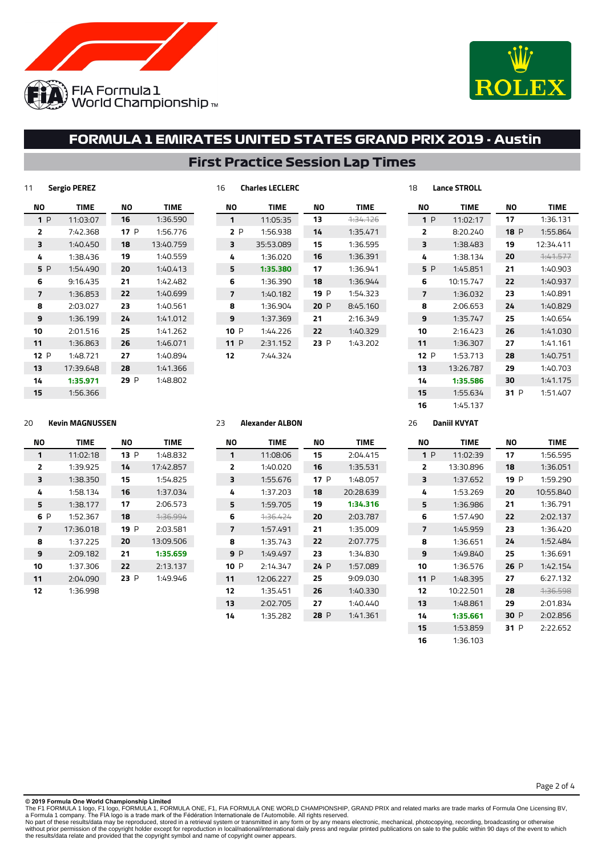



## **First Practice Session Lap Times**

**Charles LECLERC**

| 11  | <b>Sergio PEREZ</b> |      |             |
|-----|---------------------|------|-------------|
| NΟ  | <b>TIME</b>         | NΟ   | <b>TIME</b> |
| 1P  | 11:03:07            | 16   | 1:36.590    |
| 2   | 7:42.368            | 17 P | 1:56.776    |
| 3   | 1:40.450            | 18   | 13:40.759   |
| 4   | 1:38.436            | 19   | 1:40.559    |
| 5 P | 1:54.490            | 20   | 1:40.413    |
| 6   | 9:16.435            | 21   | 1:42.482    |
| 7   | 1:36.853            | 22   | 1:40.699    |
| 8   | 2:03.027            | 23   | 1:40.561    |
| 9   | 1:36.199            | 24   | 1:41.012    |
| 10  | 2:01.516            | 25   | 1:41.262    |
| 11  | 1:36.863            | 26   | 1:46.071    |
| 12P | 1:48.721            | 27   | 1:40.894    |
| 13  | 17:39.648           | 28   | 1:41.366    |
| 14  | 1:35.971            | 29 P | 1:48.802    |
| 15  | 1:56.366            |      |             |

| NΟ   | <b>TIME</b> | NΟ   | <b>TIME</b>         |
|------|-------------|------|---------------------|
| 1    | 11:05:35    | 13   | <del>1:34.126</del> |
| 2P   | 1:56.938    | 14   | 1:35.471            |
| 3    | 35:53.089   | 15   | 1:36.595            |
| 4    | 1:36.020    | 16   | 1:36.391            |
| 5    | 1:35.380    | 17   | 1:36.941            |
| 6    | 1:36.390    | 18   | 1:36.944            |
| 7    | 1:40.182    | 19 P | 1:54.323            |
| 8    | 1:36.904    | 20P  | 8:45.160            |
| 9    | 1:37.369    | 21   | 2:16.349            |
| 10 P | 1:44.226    | 22   | 1:40.329            |
| 11P  | 2:31.152    | 23 P | 1:43.202            |
| 12   | 7:44.324    |      |                     |

| NΟ             | <b>TIME</b> | NΟ   | <b>TIME</b> |
|----------------|-------------|------|-------------|
| 1P             | 11:02:17    | 17   | 1:36.131    |
| $\overline{2}$ | 8:20.240    | 18P  | 1:55.864    |
| з              | 1:38.483    | 19   | 12:34.411   |
| 4              | 1:38.134    | 20   | 7.41577     |
| 5 P            | 1:45.851    | 21   | 1:40.903    |
| 6              | 10:15.747   | 22   | 1:40.937    |
| 7              | 1:36.032    | 23   | 1:40.891    |
| 8              | 2:06.653    | 24   | 1:40.829    |
| 9              | 1:35.747    | 25   | 1:40.654    |
| 10             | 2:16.423    | 26   | 1:41.030    |
| 11             | 1:36.307    | 27   | 1:41.161    |
| 12P            | 1:53.713    | 28   | 1:40.751    |
| 13             | 13:26.787   | 29   | 1:40.703    |
| 14             | 1:35.586    | 30   | 1:41.175    |
| 15             | 1:55.634    | 31 P | 1:51.407    |
| 16             | 1:45.137    |      |             |

### **Kevin MAGNUSSEN**

| NΟ  | <b>TIME</b> | NΟ   | <b>TIME</b>         |
|-----|-------------|------|---------------------|
| 1   | 11:02:18    | 13 P | 1:48.832            |
| 2   | 1:39.925    | 14   | 17:42.857           |
| 3   | 1:38.350    | 15   | 1:54.825            |
| 4   | 1:58.134    | 16   | 1:37.034            |
| 5   | 1:38.177    | 17   | 2:06.573            |
| 6 P | 1:52.367    | 18   | <del>1:36.994</del> |
| 7   | 17:36.018   | 19 P | 2:03.581            |
| 8   | 1:37.225    | 20   | 13:09.506           |
| 9   | 2:09.182    | 21   | 1:35.659            |
| 10  | 1:37.306    | 22   | 2:13.137            |
| 11  | 2:04.090    | 23 P | 1:49.946            |
| 12  | 1:36.998    |      |                     |

## **Alexander ALBON**

Ī

| NΟ     | <b>TIME</b> | NΟ   | <b>TIME</b> |
|--------|-------------|------|-------------|
| 1      | 11:08:06    | 15   | 2:04.415    |
| 2      | 1:40.020    | 16   | 1:35.531    |
| з      | 1:55.676    | 17 P | 1:48.057    |
| 4      | 1:37.203    | 18   | 20:28.639   |
| 5      | 1:59.705    | 19   | 1:34.316    |
| 6      | 1.36.424    | 20   | 2:03.787    |
| 7      | 1:57.491    | 21   | 1:35.009    |
| 8      | 1:35.743    | 22   | 2:07.775    |
| 9 P    | 1:49.497    | 23   | 1:34.830    |
| 10 $P$ | 2:14.347    | 24 P | 1:57.089    |
| 11     | 12:06.227   | 25   | 9:09.030    |
| 12     | 1:35.451    | 26   | 1:40.330    |
| 13     | 2:02.705    | 27   | 1:40.440    |
| 14     | 1:35.282    | 28 P | 1:41.361    |
|        |             |      |             |

### **Daniil KVYAT**

**Lance STROLL**

| NΟ  | <b>TIME</b> | NΟ       | <b>TIME</b> |
|-----|-------------|----------|-------------|
| 1P  | 11:02:39    | 17       | 1:56.595    |
| 2   | 13:30.896   | 18       | 1:36.051    |
| 3   | 1:37.652    | 19 P     | 1:59.290    |
| 4   | 1:53.269    | 20       | 10:55.840   |
| 5   | 1:36.986    | 21       | 1:36.791    |
| 6   | 1:57.490    | 22       | 2:02.137    |
| 7   | 1:45.959    | 23       | 1:36.420    |
| 8   | 1:36.651    | 24       | 1:52.484    |
| 9   | 1:49.840    | 25       | 1:36.691    |
| 10  | 1:36.576    | 26P      | 1:42.154    |
| 11P | 1:48.395    | 27       | 6:27.132    |
| 12  | 10:22.501   | 28       | 1.36.598    |
| 13  | 1:48.861    | 29       | 2:01.834    |
| 14  | 1:35.661    | 30 P     | 2:02.856    |
| 15  | 1:53.859    | P<br>31. | 2:22.652    |
| 16  | 1:36.103    |          |             |

Page 2 of 4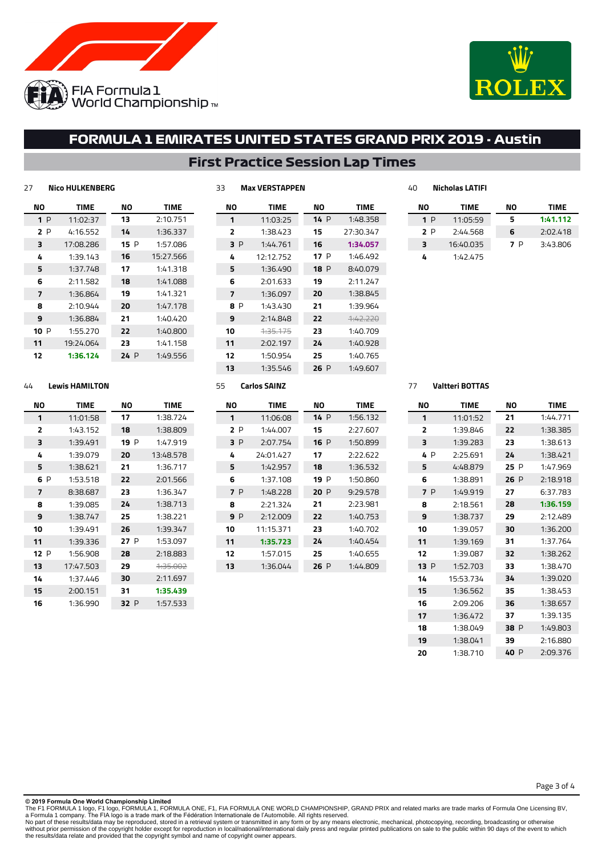



## **First Practice Session Lap Times**

| 27             | <b>Nico HULKENBERG</b> |      |             | 33             | <b>Max VERSTAPPEN</b> |      |             | 40 |     | <b>Nicholas LATIFI</b> |     |             |
|----------------|------------------------|------|-------------|----------------|-----------------------|------|-------------|----|-----|------------------------|-----|-------------|
| ΝO             | TIME                   | ΝO   | <b>TIME</b> | ΝO             | <b>TIME</b>           | ΝO   | <b>TIME</b> | ΝO |     | <b>TIME</b>            | ΝO  | <b>TIME</b> |
| 1P             | 11:02:37               | 13   | 2:10.751    | 1              | 11:03:25              | 14 P | 1:48.358    |    | 1P  | 11:05:59               | 5   | 1:41.112    |
| 2P             | 4:16.552               | 14   | 1:36.337    | 2              | 1:38.423              | 15   | 27:30.347   |    | 2 P | 2:44.568               | 6   | 2:02.418    |
| 3              | 17:08.286              | 15P  | 1:57.086    | 3P             | 1:44.761              | 16   | 1:34.057    | 3  |     | 16:40.035              | 7 P | 3:43.806    |
| 4              | 1:39.143               | 16   | 15:27.566   | 4              | 12:12.752             | 17P  | 1:46.492    | 4  |     | 1:42.475               |     |             |
| 5              | 1:37.748               | 17   | 1:41.318    | 5              | 1:36.490              | 18 P | 8:40.079    |    |     |                        |     |             |
| 6              | 2:11.582               | 18   | 1:41.088    | 6              | 2:01.633              | 19   | 2:11.247    |    |     |                        |     |             |
| $\overline{7}$ | 1:36.864               | 19   | 1:41.321    | $\overline{7}$ | 1:36.097              | 20   | 1:38.845    |    |     |                        |     |             |
| 8              | 2:10.944               | 20   | 1:47.178    | 8 P            | 1:43.430              | 21   | 1:39.964    |    |     |                        |     |             |
| 9              | 1:36.884               | 21   | 1:40.420    | 9              | 2:14.848              | 22   | 4:42.220    |    |     |                        |     |             |
| 10P            | 1:55.270               | 22   | 1:40.800    | 10             | 4:35.175              | 23   | 1:40.709    |    |     |                        |     |             |
| 11             | 19:24.064              | 23   | 1:41.158    | 11             | 2:02.197              | 24   | 1:40.928    |    |     |                        |     |             |
| 12             | 1:36.124               | 24 P | 1:49.556    | 12             | 1:50.954              | 25   | 1:40.765    |    |     |                        |     |             |
|                |                        |      |             | 13             | 1:35.546              | 26P  | 1:49.607    |    |     |                        |     |             |
| 44             | <b>Lewis HAMILTON</b>  |      |             | 55             | <b>Carlos SAINZ</b>   |      |             | 77 |     | <b>Valtteri BOTTAS</b> |     |             |

 1:36.532 P 1:50.860 P 9:29.578 2:23.981 1:40.753 1:40.702 1:40.454 1:40.655 P 1:44.809

### **Lewis HAMILTON**

| NΟ  | <b>TIME</b> | NΟ   | <b>TIME</b> |  |  |
|-----|-------------|------|-------------|--|--|
| 1   | 11:01:58    | 17   | 1:38.724    |  |  |
| 2   | 1:43.152    | 18   | 1:38.809    |  |  |
| з   | 1:39.491    | 19 P | 1:47.919    |  |  |
| 4   | 1:39.079    | 20   | 13:48.578   |  |  |
| 5   | 1:38.621    | 21   | 1:36.717    |  |  |
| 6 P | 1:53.518    | 22   | 2:01.566    |  |  |
| 7   | 8:38.687    | 23   | 1:36.347    |  |  |
| 8   | 1:39.085    | 24   | 1:38.713    |  |  |
| 9   | 1:38.747    | 25   | 1:38.221    |  |  |
| 10  | 1:39.491    | 26   | 1:39.347    |  |  |
| 11  | 1:39.336    | 27P  | 1:53.097    |  |  |
| 12P | 1:56.908    | 28   | 2:18.883    |  |  |
| 13  | 17:47.503   | 29   | 4:35.002    |  |  |
| 14  | 1:37.446    | 30   | 2:11.697    |  |  |
| 15  | 2:00.151    | 31   | 1:35.439    |  |  |
| 16  | 1:36.990    | 32 P | 1:57.533    |  |  |

| NΟ  | <b>TIME</b> | NΟ  | <b>TIME</b> |
|-----|-------------|-----|-------------|
| 1   | 11:06:08    | 14P | 1:56.132    |
| 2P  | 1:44.007    | 15  | 2:27.607    |
| 3 P | 2:07.754    | 16P | 1:50.899    |
| 4   | 24:01.427   | 17  | 2:22.622    |

 1:42.957 1:37.108 P 1:48.228 2:21.324 P 2:12.009 11:15.371 **1:35.723** 1:57.015 1:36.044

#### **Valtteri BOTTAS**

| NΟ      | <b>TIME</b> | NΟ      | <b>TIME</b> |  |  |
|---------|-------------|---------|-------------|--|--|
| 1       | 11:01:52    | 21      | 1:44.771    |  |  |
| 2       | 1:39.846    | 22      | 1:38.385    |  |  |
| 3       | 1:39.283    | 23      | 1:38.613    |  |  |
| P<br>4  | 2:25.691    | 24      | 1:38.421    |  |  |
| 5       | 4:48.879    | 25<br>P | 1:47.969    |  |  |
| 6       | 1:38.891    | 26<br>P | 2:18.918    |  |  |
| 7 P     | 1:49.919    | 27      | 6:37.783    |  |  |
| 8       | 2:18.561    | 28      | 1:36.159    |  |  |
| 9       | 1:38.737    | 29      | 2:12.489    |  |  |
| 10      | 1:39.057    | 30      | 1:36.200    |  |  |
| 11      | 1:39.169    | 31      | 1:37.764    |  |  |
| 12      | 1:39.087    | 32      | 1:38.262    |  |  |
| 13<br>P | 1:52.703    | 33      | 1:38.470    |  |  |
| 14      | 15:53.734   | 34      | 1:39.020    |  |  |
| 15      | 1:36.562    | 35      | 1:38.453    |  |  |
| 16      | 2:09.206    | 36      | 1:38.657    |  |  |
| 17      | 1:36.472    | 37      | 1:39.135    |  |  |
| 18      | 1:38.049    | 38<br>P | 1:49.803    |  |  |
| 19      | 1:38.041    | 39      | 2:16.880    |  |  |
| 20      | 1:38.710    | 40 P    | 2:09.376    |  |  |

Page 3 of 4

#### **© 2019 Formula One World Championship Limited**